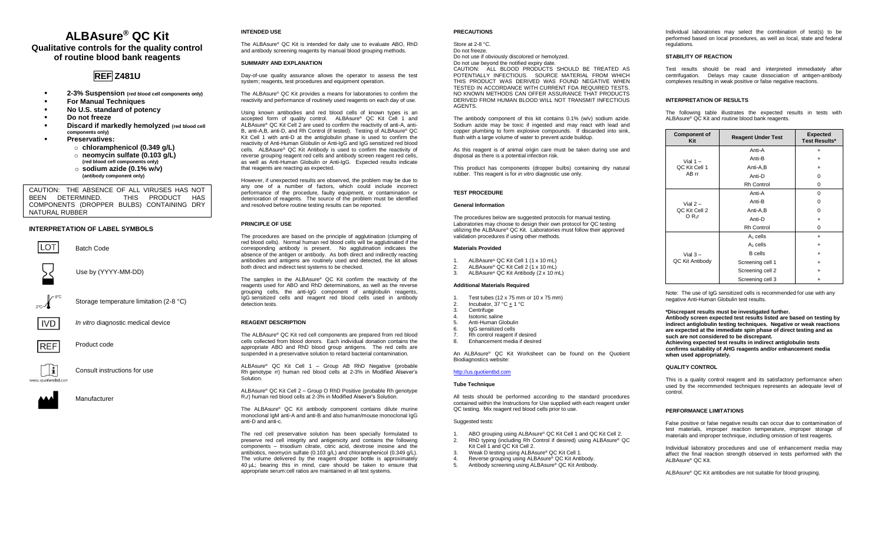## **ALBAsure® QC Kit Qualitative controls for the quality control of routine blood bank reagents**

# **REF Z481U**

- **2-3% Suspension (red blood cell components only)**
- **For Manual Techniques**
- **No U.S. standard of potency**
- Do not freeze
- **Discard if markedly hemolyzed** (red blood cell **components only)**
- **Preservatives:**
	- o **chloramphenicol (0.349 g/L)** o **neomycin sulfate (0.103 g/L) (red blood cell components only)** o **sodium azide (0.1% w/v)**

CAUTION: THE ABSENCE OF ALL VIRUSES HAS NOT BEEN DETERMINED. COMPONENTS (DROPPER BULBS) CONTAINING DRY NATURAL RUBBER

**(antibody component only)**

#### **INTERPRETATION OF LABEL SYMBOLS**

LOT Batch Code Use by (YYYY-MM-DD) Storage temperature limitation (2-8 °C)

REF

li. www.quotianthd.com

**IVD** *In vitro* diagnostic medical device

Product code



#### **INTENDED USE**

The ALBAsure® QC Kit is intended for daily use to evaluate ABO, RhD and antibody screening reagents by manual blood grouping methods.

## **SUMMARY AND EXPLANATION**

Day-of-use quality assurance allows the operator to assess the test system; reagents, test procedures and equipment operation.

The ALBAsure® QC Kit provides a means for laboratories to confirm the reactivity and performance of routinely used reagents on each day of use.

Using known antibodies and red blood cells of known types is an accepted form of quality control. ALBAsure® QC Kit Cell 1 and ALBAsure® QC Kit Cell 2 are used to confirm the reactivity of anti-A, anti-B, anti-A,B, anti-D, and Rh Control (if tested). Testing of ALBAsure® QC Kit Cell 1 with anti-D at the antiglobulin phase is used to confirm the reactivity of Anti-Human Globulin or Anti-IgG and IgG sensitized red blood cells. ALBAsure® QC Kit Antibody is used to confirm the reactivity of reverse grouping reagent red cells and antibody screen reagent red cells, as well as Anti-Human Globulin or Anti-IgG. Expected results indicate that reagents are reacting as expected.

However, if unexpected results are observed, the problem may be due to any one of a number of factors, which could include incorrect performance of the procedure, faulty equipment, or contamination or deterioration of reagents. The source of the problem must be identified and resolved before routine testing results can be reported.

#### **PRINCIPLE OF USE**

The procedures are based on the principle of agglutination (clumping of red blood cells). Normal human red blood cells will be agglutinated if the corresponding antibody is present. No agglutination indicates the absence of the antigen or antibody. As both direct and indirectly reacting antibodies and antigens are routinely used and detected, the kit allows both direct and indirect test systems to be checked.

The samples in the ALBAsure® QC Kit confirm the reactivity of the reagents used for ABO and RhD determinations, as well as the reverse grouping cells, the anti-IgG component of antiglobulin reagents, IgG sensitized cells and reagent red blood cells used in antibody detection tests.

#### **REAGENT DESCRIPTION**

The ALBAsure® QC Kit red cell components are prepared from red blood cells collected from blood donors. Each individual donation contains the appropriate ABO and RhD blood group antigens. The red cells are suspended in a preservative solution to retard bacterial contamination.

ALBAsure® QC Kit Cell 1 – Group AB RhD Negative (probable Rh genotype rr) human red blood cells at 2-3% in Modified Alsever's **Solution** 

ALBAsure® QC Kit Cell 2 – Group O RhD Positive (probable Rh genotype R1r) human red blood cells at 2-3% in Modified Alsever's Solution.

The ALBAsure® QC Kit antibody component contains dilute murine monoclonal IgM anti-A and anti-B and also human/mouse monoclonal IgG anti-D and anti-c.

The red cell preservative solution has been specially formulated to preserve red cell integrity and antigenicity and contains the following components – trisodium citrate, citric acid, dextrose inosine and the antibiotics, neomycin sulfate (0.103 g/L) and chloramphenicol (0.349 g/L). The volume delivered by the reagent dropper bottle is approximately 40 µL; bearing this in mind, care should be taken to ensure that appropriate serum:cell ratios are maintained in all test systems.

#### **PRECAUTIONS**

Store at 2-8 °C. Do not freeze. Do not use if obviously discolored or hemolyzed.

Do not use beyond the notified expiry date.

CAUTION: ALL BLOOD PRODUCTS SHOULD BE TREATED AS POTENTIALLY INFECTIOUS. SOURCE MATERIAL FROM WHICH THIS PRODUCT WAS DERIVED WAS FOUND NEGATIVE WHEN TESTED IN ACCORDANCE WITH CURRENT FDA REQUIRED TESTS. NO KNOWN METHODS CAN OFFER ASSURANCE THAT PRODUCTS DERIVED FROM HUMAN BLOOD WILL NOT TRANSMIT INFECTIOUS AGENTS.

The antibody component of this kit contains 0.1% (w/v) sodium azide. Sodium azide may be toxic if ingested and may react with lead and copper plumbing to form explosive compounds. If discarded into sink, flush with a large volume of water to prevent azide buildup.

As this reagent is of animal origin care must be taken during use and disposal as there is a potential infection risk.

This product has components (dropper bulbs) containing dry natural rubber. This reagent is for *in vitro* diagnostic use only.

## **TEST PROCEDURE**

#### **General Information**

The procedures below are suggested protocols for manual testing. Laboratories may choose to design their own protocol for QC testing utilizing the ALBAsure® QC Kit. Laboratories must follow their approved validation procedures if using other methods.

#### **Materials Provided**

- 1. ALBAsure® QC Kit Cell 1 (1 x 10 mL)<br>2. ALBAsure® QC Kit Cell 2 (1 x 10 mL)
- 2. ALBAsure® QC Kit Cell 2  $(1 \times 10 \text{ mL})$ <br>3. ALBAsure® OC Kit Antibody (2 x 10 m
- 3. ALBAsure® QC Kit Antibody (2 x 10 mL)

#### **Additional Materials Required**

- 1. Test tubes (12 x 75 mm or 10 x 75 mm)<br>2. Incubator 37 °C + 1 °C
- 2. Incubator,  $37^{\circ}C \pm 1^{\circ}C$ <br>3. Centrifuge
- 3. Centrifuge<br>4 Isotonic sa
- 4. Isotonic saline<br>5. Anti-Human G
- 5. Anti-Human Globulin<br>6. InG sensitized cells
- 6. IgG sensitized cells<br>7 Rh control reggent
- 7. Rh control reagent if desired<br>8. Enhancement media if desire
- Enhancement media if desired

An ALBAsure® QC Kit Worksheet can be found on the Quotient Biodiagnostics website:

## [http://us.quotientbd.com](http://us.quotientbd.com/)

#### **Tube Technique**

All tests should be performed according to the standard procedures contained within the Instructions for Use supplied with each reagent under QC testing. Mix reagent red blood cells prior to use.

#### Suggested tests:

- 1. ABO grouping using ALBAsure® QC Kit Cell 1 and QC Kit Cell 2.<br>2. RhD typing (including Rh Control if desired) using ALBAsure®
- 2. RhD typing (including Rh Control if desired) using ALBAsure® QC Kit Cell 1 and QC Kit Cell 2.
- 3. Weak D testing using ALBAsure® QC Kit Cell 1.<br>4. Reverse grouping using ALBAsure® QC Kit Anti
- 
- 4. Reverse grouping using ALBAsure® QC Kit Antibody<br>5. Antibody screening using ALBAsure® QC Kit Antibod Antibody screening using ALBAsure® QC Kit Antibody.

Individual laboratories may select the combination of test(s) to be performed based on local procedures, as well as local, state and federal regulations.

#### **STABILITY OF REACTION**

Test results should be read and interpreted immediately after centrifugation. Delays may cause dissociation of antigen-antibody complexes resulting in weak positive or false negative reactions.

#### **INTERPRETATION OF RESULTS**

The following table illustrates the expected results in tests with ALBAsure® QC Kit and routine blood bank reagents.

| <b>Component of</b><br>Kit                      | <b>Reagent Under Test</b> | <b>Expected</b><br><b>Test Results*</b> |
|-------------------------------------------------|---------------------------|-----------------------------------------|
| Vial $1 -$<br>QC Kit Cell 1<br>AB rr            | Anti-A                    | $\ddot{}$                               |
|                                                 | Anti-B                    |                                         |
|                                                 | Anti-A,B                  | $\ddot{}$                               |
|                                                 | Anti-D                    | $\Omega$                                |
|                                                 | <b>Rh Control</b>         | $\Omega$                                |
| Vial $2 -$<br>QC Kit Cell 2<br>O R <sub>1</sub> | Anti-A                    | $\Omega$                                |
|                                                 | Anti-B                    | O                                       |
|                                                 | Anti-A.B                  | O                                       |
|                                                 | Anti-D                    |                                         |
|                                                 | <b>Rh Control</b>         | $\Omega$                                |
| Vial $3 -$<br>QC Kit Antibody                   | $A_1$ cells               | $\ddot{}$                               |
|                                                 | $A2$ cells                |                                         |
|                                                 | <b>B</b> cells            |                                         |
|                                                 | Screening cell 1          | $\ddot{}$                               |
|                                                 | Screening cell 2          |                                         |
|                                                 | Screening cell 3          |                                         |

Note: The use of IgG sensitized cells is recommended for use with any negative Anti-Human Globulin test results.

**\*Discrepant results must be investigated further.**

**Antibody screen expected test results listed are based on testing by indirect antiglobulin testing techniques. Negative or weak reactions are expected at the immediate spin phase of direct testing and as such are not considered to be discrepant. Achieving expected test results in indirect antiglobulin tests confirms suitability of AHG reagents and/or enhancement media when used appropriately.**

#### **QUALITY CONTROL**

This is a quality control reagent and its satisfactory performance when used by the recommended techniques represents an adequate level of control.

#### **PERFORMANCE LIMITATIONS**

False positive or false negative results can occur due to contamination of test materials, improper reaction temperature, improper storage of materials and improper technique, including omission of test reagents.

Individual laboratory procedures and use of enhancement media may affect the final reaction strength observed in tests performed with the ALBAsure® QC Kit.

ALBAsure® QC Kit antibodies are not suitable for blood grouping.